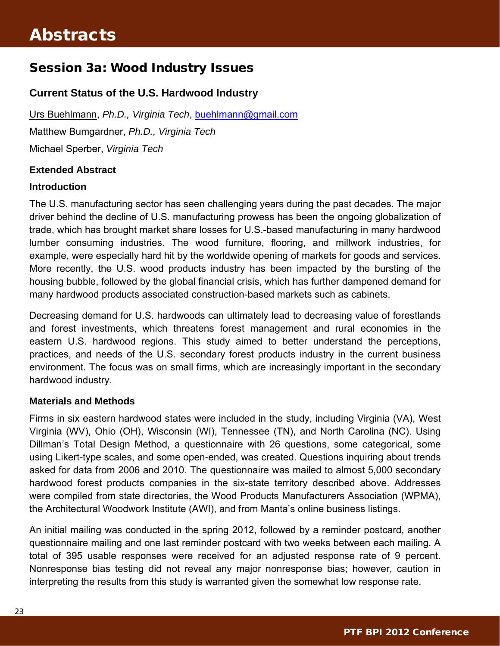## Session 3a: Wood Industry Issues

## **Current Status of the U.S. Hardwood Industry**

Urs Buehlmann, *Ph.D., Virginia Tech*, buehlmann@gmail.com Matthew Bumgardner, *Ph.D., Virginia Tech* Michael Sperber, *Virginia Tech* 

## **Extended Abstract**

## **Introduction**

The U.S. manufacturing sector has seen challenging years during the past decades. The major driver behind the decline of U.S. manufacturing prowess has been the ongoing globalization of trade, which has brought market share losses for U.S.-based manufacturing in many hardwood lumber consuming industries. The wood furniture, flooring, and millwork industries, for example, were especially hard hit by the worldwide opening of markets for goods and services. More recently, the U.S. wood products industry has been impacted by the bursting of the housing bubble, followed by the global financial crisis, which has further dampened demand for many hardwood products associated construction-based markets such as cabinets.

Decreasing demand for U.S. hardwoods can ultimately lead to decreasing value of forestlands and forest investments, which threatens forest management and rural economies in the eastern U.S. hardwood regions. This study aimed to better understand the perceptions, practices, and needs of the U.S. secondary forest products industry in the current business environment. The focus was on small firms, which are increasingly important in the secondary hardwood industry.

### **Materials and Methods**

Firms in six eastern hardwood states were included in the study, including Virginia (VA), West Virginia (WV), Ohio (OH), Wisconsin (WI), Tennessee (TN), and North Carolina (NC). Using Dillman's Total Design Method, a questionnaire with 26 questions, some categorical, some using Likert-type scales, and some open-ended, was created. Questions inquiring about trends asked for data from 2006 and 2010. The questionnaire was mailed to almost 5,000 secondary hardwood forest products companies in the six-state territory described above. Addresses were compiled from state directories, the Wood Products Manufacturers Association (WPMA), the Architectural Woodwork Institute (AWI), and from Manta's online business listings.

An initial mailing was conducted in the spring 2012, followed by a reminder postcard, another questionnaire mailing and one last reminder postcard with two weeks between each mailing. A total of 395 usable responses were received for an adjusted response rate of 9 percent. Nonresponse bias testing did not reveal any major nonresponse bias; however, caution in interpreting the results from this study is warranted given the somewhat low response rate.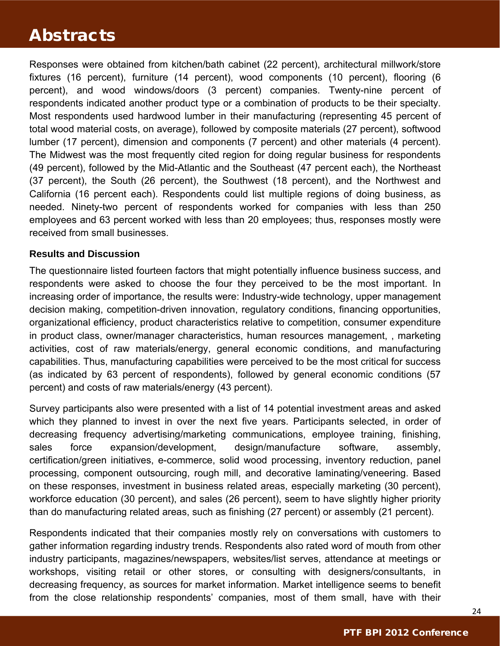## Abstracts

Responses were obtained from kitchen/bath cabinet (22 percent), architectural millwork/store fixtures (16 percent), furniture (14 percent), wood components (10 percent), flooring (6 percent), and wood windows/doors (3 percent) companies. Twenty-nine percent of respondents indicated another product type or a combination of products to be their specialty. Most respondents used hardwood lumber in their manufacturing (representing 45 percent of total wood material costs, on average), followed by composite materials (27 percent), softwood lumber (17 percent), dimension and components (7 percent) and other materials (4 percent). The Midwest was the most frequently cited region for doing regular business for respondents (49 percent), followed by the Mid-Atlantic and the Southeast (47 percent each), the Northeast (37 percent), the South (26 percent), the Southwest (18 percent), and the Northwest and California (16 percent each). Respondents could list multiple regions of doing business, as needed. Ninety-two percent of respondents worked for companies with less than 250 employees and 63 percent worked with less than 20 employees; thus, responses mostly were received from small businesses.

#### **Results and Discussion**

The questionnaire listed fourteen factors that might potentially influence business success, and respondents were asked to choose the four they perceived to be the most important. In increasing order of importance, the results were: Industry-wide technology, upper management decision making, competition-driven innovation, regulatory conditions, financing opportunities, organizational efficiency, product characteristics relative to competition, consumer expenditure in product class, owner/manager characteristics, human resources management, , marketing activities, cost of raw materials/energy, general economic conditions, and manufacturing capabilities. Thus, manufacturing capabilities were perceived to be the most critical for success (as indicated by 63 percent of respondents), followed by general economic conditions (57 percent) and costs of raw materials/energy (43 percent).

Survey participants also were presented with a list of 14 potential investment areas and asked which they planned to invest in over the next five years. Participants selected, in order of decreasing frequency advertising/marketing communications, employee training, finishing, sales force expansion/development, design/manufacture software, assembly, certification/green initiatives, e-commerce, solid wood processing, inventory reduction, panel processing, component outsourcing, rough mill, and decorative laminating/veneering. Based on these responses, investment in business related areas, especially marketing (30 percent), workforce education (30 percent), and sales (26 percent), seem to have slightly higher priority than do manufacturing related areas, such as finishing (27 percent) or assembly (21 percent).

Respondents indicated that their companies mostly rely on conversations with customers to gather information regarding industry trends. Respondents also rated word of mouth from other industry participants, magazines/newspapers, websites/list serves, attendance at meetings or workshops, visiting retail or other stores, or consulting with designers/consultants, in decreasing frequency, as sources for market information. Market intelligence seems to benefit from the close relationship respondents' companies, most of them small, have with their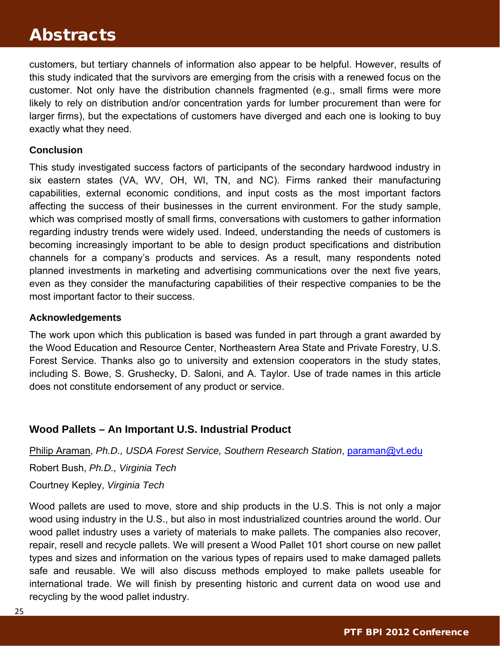## Abstracts

customers, but tertiary channels of information also appear to be helpful. However, results of this study indicated that the survivors are emerging from the crisis with a renewed focus on the customer. Not only have the distribution channels fragmented (e.g., small firms were more likely to rely on distribution and/or concentration yards for lumber procurement than were for larger firms), but the expectations of customers have diverged and each one is looking to buy exactly what they need.

## **Conclusion**

This study investigated success factors of p[articipants of the seco](mailto:erick117@umn.edu)ndary hardwood industry in six eastern states (VA, WV, OH, WI, TN, and NC). Firms ranked their manufacturing capabilities, external economic conditions, and input costs as the most important factors affecting the success of their businesses in the current environment. For the study sample, which was comprised mostly of small firms, conversations with customers to gather information regarding industry trends were widely used. Indeed, understanding the needs of customers is becoming increasingly important to be able to design product specifications and distribution channels for a company's products and services. As a result, many respondents noted planned investments in marketing and advertising communications over the next five years, even as they consider the manufacturing capabilities of their respective companies to be the most important factor to their success.

#### **Acknowledgements**

The work upon which this publication is based was funded in part through a grant awarded by the Wood Education and Resource Center, Northeastern Area State and Private Forestry, U.S. Forest Service. Thanks also go to university and extension cooperators in the study states, including S. Bowe, S. Grushecky, D. Saloni, and A. Taylor. Use of trade names in this article does not constitute endorsement of any product or service.

## **Wood Pallets – An Important U.S. Industrial Product**

Philip Araman, *Ph.D., USDA Forest Service, Southern Research Station*, paraman@vt.edu Robert Bush, *Ph.D., Virginia Tech*

Courtney Kepley, *Virginia Tech*

Wood pallets are used to move, store and ship products in the U.S. This is not only a major wood using industry in the U.S., but also in most industrialized countries around the world. Our wood pallet industry uses a variety of materials to make pallets. The companies also recover, repair, resell and recycle pallets. We will present a Wood Pallet 101 short course on new pallet types and sizes and information on the various types of repairs used to make damaged pallets safe and reusable. We will also discuss methods employed to make pallets useable for international trade. We will finish by presenting historic and current data on wood use and recycling by the wood pallet industry.